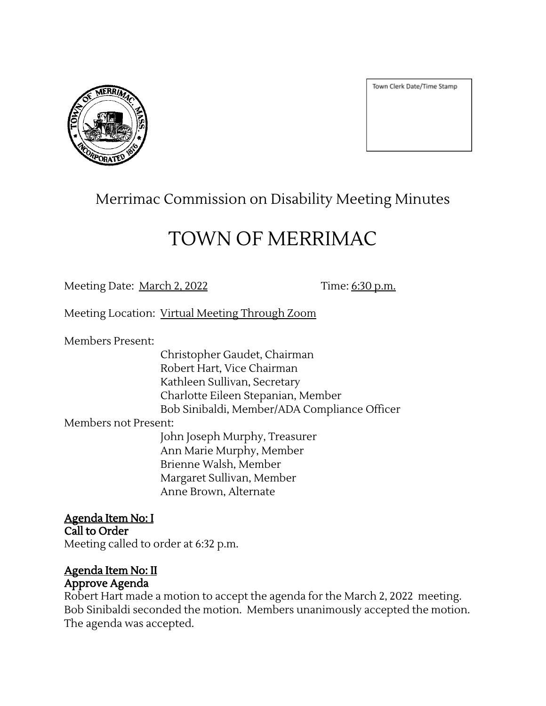

Town Clerk Date/Time Stamp

## Merrimac Commission on Disability Meeting Minutes

# TOWN OF MERRIMAC

Meeting Date: <u>March 2, 2022</u> Time: 6:30 p.m.

Meeting Location: Virtual Meeting Through Zoom

Members Present:

Christopher Gaudet, Chairman Robert Hart, Vice Chairman Kathleen Sullivan, Secretary Charlotte Eileen Stepanian, Member Bob Sinibaldi, Member/ADA Compliance Officer

Members not Present:

John Joseph Murphy, Treasurer Ann Marie Murphy, Member Brienne Walsh, Member Margaret Sullivan, Member Anne Brown, Alternate

Agenda Item No: I Call to Order Meeting called to order at 6:32 p.m.

# Agenda Item No: II

## Approve Agenda

Robert Hart made a motion to accept the agenda for the March 2, 2022 meeting. Bob Sinibaldi seconded the motion. Members unanimously accepted the motion. The agenda was accepted.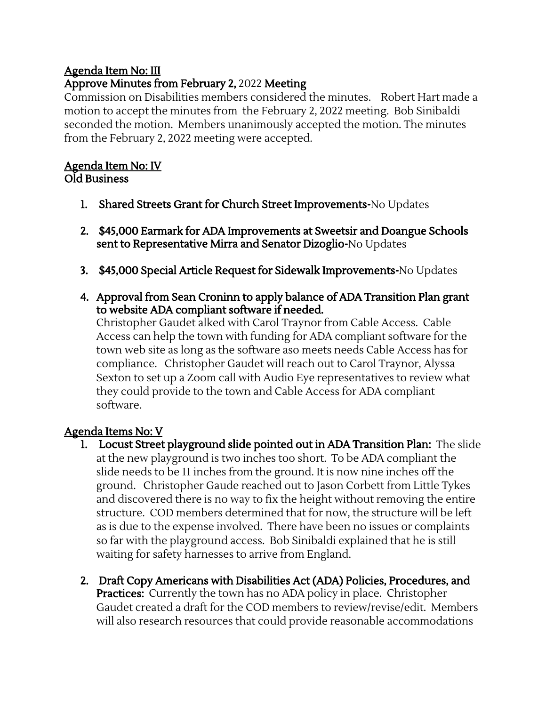### Agenda Item No: III

### Approve Minutes from February 2, 2022 Meeting

Commission on Disabilities members considered the minutes. Robert Hart made a motion to accept the minutes from the February 2, 2022 meeting. Bob Sinibaldi seconded the motion. Members unanimously accepted the motion. The minutes from the February 2, 2022 meeting were accepted.

#### Agenda Item No: IV Old Business

- 1. Shared Streets Grant for Church Street Improvements-No Updates
- 2. \$45,000 Earmark for ADA Improvements at Sweetsir and Doangue Schools sent to Representative Mirra and Senator Dizoglio-No Updates
- 3. \$45,000 Special Article Request for Sidewalk Improvements-No Updates
- 4. Approval from Sean Croninn to apply balance of ADA Transition Plan grant to website ADA compliant software if needed.

Christopher Gaudet alked with Carol Traynor from Cable Access. Cable Access can help the town with funding for ADA compliant software for the town web site as long as the software aso meets needs Cable Access has for compliance. Christopher Gaudet will reach out to Carol Traynor, Alyssa Sexton to set up a Zoom call with Audio Eye representatives to review what they could provide to the town and Cable Access for ADA compliant software.

#### Agenda Items No: V

- 1. Locust Street playground slide pointed out in ADA Transition Plan: The slide at the new playground is two inches too short. To be ADA compliant the slide needs to be 11 inches from the ground. It is now nine inches off the ground. Christopher Gaude reached out to Jason Corbett from Little Tykes and discovered there is no way to fix the height without removing the entire structure. COD members determined that for now, the structure will be left as is due to the expense involved. There have been no issues or complaints so far with the playground access. Bob Sinibaldi explained that he is still waiting for safety harnesses to arrive from England.
- 2. Draft Copy Americans with Disabilities Act (ADA) Policies, Procedures, and **Practices:** Currently the town has no ADA policy in place. Christopher Gaudet created a draft for the COD members to review/revise/edit. Members will also research resources that could provide reasonable accommodations